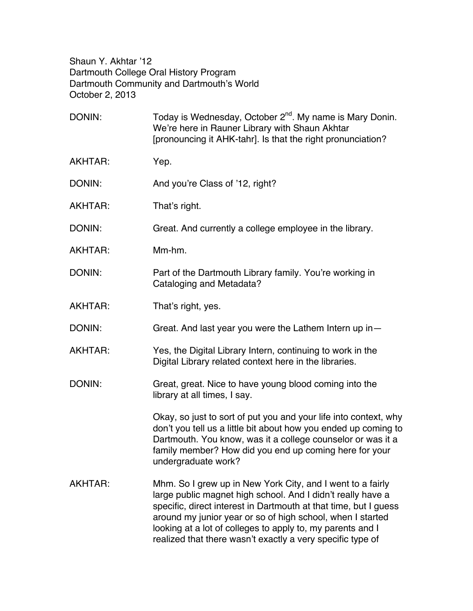Shaun Y. Akhtar '12 Dartmouth College Oral History Program Dartmouth Community and Dartmouth's World October 2, 2013

| DONIN:         | Today is Wednesday, October 2 <sup>nd</sup> . My name is Mary Donin.<br>We're here in Rauner Library with Shaun Akhtar<br>[pronouncing it AHK-tahr]. Is that the right pronunciation?                                                                                                                                                                                                   |
|----------------|-----------------------------------------------------------------------------------------------------------------------------------------------------------------------------------------------------------------------------------------------------------------------------------------------------------------------------------------------------------------------------------------|
| AKHTAR:        | Yep.                                                                                                                                                                                                                                                                                                                                                                                    |
| DONIN:         | And you're Class of '12, right?                                                                                                                                                                                                                                                                                                                                                         |
| AKHTAR:        | That's right.                                                                                                                                                                                                                                                                                                                                                                           |
| DONIN:         | Great. And currently a college employee in the library.                                                                                                                                                                                                                                                                                                                                 |
| AKHTAR:        | Mm-hm.                                                                                                                                                                                                                                                                                                                                                                                  |
| DONIN:         | Part of the Dartmouth Library family. You're working in<br>Cataloging and Metadata?                                                                                                                                                                                                                                                                                                     |
| AKHTAR:        | That's right, yes.                                                                                                                                                                                                                                                                                                                                                                      |
| DONIN:         | Great. And last year you were the Lathem Intern up in-                                                                                                                                                                                                                                                                                                                                  |
| AKHTAR:        | Yes, the Digital Library Intern, continuing to work in the<br>Digital Library related context here in the libraries.                                                                                                                                                                                                                                                                    |
| DONIN:         | Great, great. Nice to have young blood coming into the<br>library at all times, I say.                                                                                                                                                                                                                                                                                                  |
|                | Okay, so just to sort of put you and your life into context, why<br>don't you tell us a little bit about how you ended up coming to<br>Dartmouth. You know, was it a college counselor or was it a<br>family member? How did you end up coming here for your<br>undergraduate work?                                                                                                     |
| <b>AKHTAR:</b> | Mhm. So I grew up in New York City, and I went to a fairly<br>large public magnet high school. And I didn't really have a<br>specific, direct interest in Dartmouth at that time, but I guess<br>around my junior year or so of high school, when I started<br>looking at a lot of colleges to apply to, my parents and I<br>realized that there wasn't exactly a very specific type of |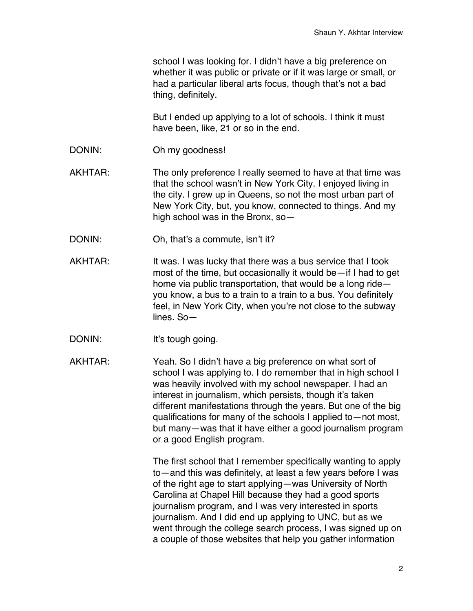school I was looking for. I didn't have a big preference on whether it was public or private or if it was large or small, or had a particular liberal arts focus, though that's not a bad thing, definitely.

But I ended up applying to a lot of schools. I think it must have been, like, 21 or so in the end.

DONIN: Oh my goodness!

AKHTAR: The only preference I really seemed to have at that time was that the school wasn't in New York City. I enjoyed living in the city. I grew up in Queens, so not the most urban part of New York City, but, you know, connected to things. And my high school was in the Bronx, so—

- DONIN: Oh, that's a commute, isn't it?
- AKHTAR: It was. I was lucky that there was a bus service that I took most of the time, but occasionally it would be—if I had to get home via public transportation, that would be a long ride you know, a bus to a train to a train to a bus. You definitely feel, in New York City, when you're not close to the subway lines. So—
- DONIN: It's tough going.

AKHTAR: Yeah. So I didn't have a big preference on what sort of school I was applying to. I do remember that in high school I was heavily involved with my school newspaper. I had an interest in journalism, which persists, though it's taken different manifestations through the years. But one of the big qualifications for many of the schools I applied to—not most, but many—was that it have either a good journalism program or a good English program.

> The first school that I remember specifically wanting to apply to—and this was definitely, at least a few years before I was of the right age to start applying—was University of North Carolina at Chapel Hill because they had a good sports journalism program, and I was very interested in sports journalism. And I did end up applying to UNC, but as we went through the college search process, I was signed up on a couple of those websites that help you gather information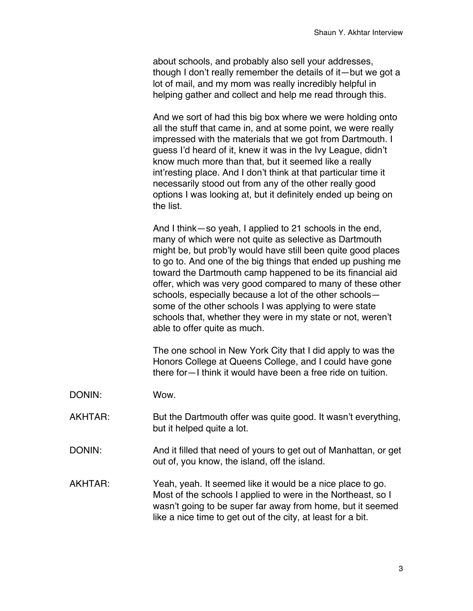about schools, and probably also sell your addresses, though I don't really remember the details of it—but we got a lot of mail, and my mom was really incredibly helpful in helping gather and collect and help me read through this.

And we sort of had this big box where we were holding onto all the stuff that came in, and at some point, we were really impressed with the materials that we got from Dartmouth. I guess I'd heard of it, knew it was in the Ivy League, didn't know much more than that, but it seemed like a really int'resting place. And I don't think at that particular time it necessarily stood out from any of the other really good options I was looking at, but it definitely ended up being on the list.

And I think—so yeah, I applied to 21 schools in the end, many of which were not quite as selective as Dartmouth might be, but prob'ly would have still been quite good places to go to. And one of the big things that ended up pushing me toward the Dartmouth camp happened to be its financial aid offer, which was very good compared to many of these other schools, especially because a lot of the other schools some of the other schools I was applying to were state schools that, whether they were in my state or not, weren't able to offer quite as much.

The one school in New York City that I did apply to was the Honors College at Queens College, and I could have gone there for—I think it would have been a free ride on tuition.

- DONIN: Wow.
- AKHTAR: But the Dartmouth offer was quite good. It wasn't everything, but it helped quite a lot.
- DONIN: And it filled that need of yours to get out of Manhattan, or get out of, you know, the island, off the island.
- AKHTAR: Yeah, yeah. It seemed like it would be a nice place to go. Most of the schools I applied to were in the Northeast, so I wasn't going to be super far away from home, but it seemed like a nice time to get out of the city, at least for a bit.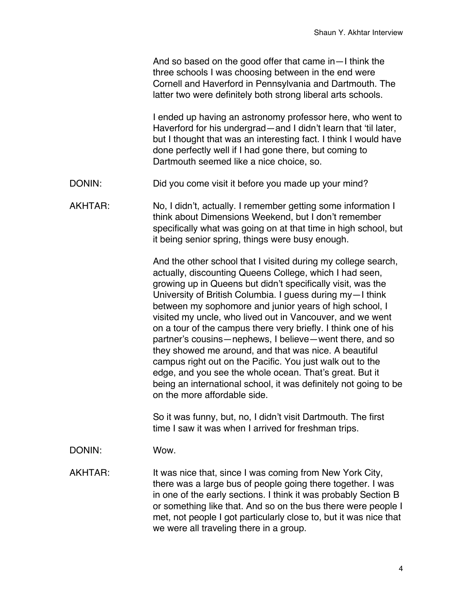And so based on the good offer that came in—I think the three schools I was choosing between in the end were Cornell and Haverford in Pennsylvania and Dartmouth. The latter two were definitely both strong liberal arts schools.

I ended up having an astronomy professor here, who went to Haverford for his undergrad—and I didn't learn that 'til later, but I thought that was an interesting fact. I think I would have done perfectly well if I had gone there, but coming to Dartmouth seemed like a nice choice, so.

- DONIN: Did you come visit it before you made up your mind?
- AKHTAR: No, I didn't, actually. I remember getting some information I think about Dimensions Weekend, but I don't remember specifically what was going on at that time in high school, but it being senior spring, things were busy enough.

And the other school that I visited during my college search, actually, discounting Queens College, which I had seen, growing up in Queens but didn't specifically visit, was the University of British Columbia. I guess during my—I think between my sophomore and junior years of high school, I visited my uncle, who lived out in Vancouver, and we went on a tour of the campus there very briefly. I think one of his partner's cousins—nephews, I believe—went there, and so they showed me around, and that was nice. A beautiful campus right out on the Pacific. You just walk out to the edge, and you see the whole ocean. That's great. But it being an international school, it was definitely not going to be on the more affordable side.

So it was funny, but, no, I didn't visit Dartmouth. The first time I saw it was when I arrived for freshman trips.

DONIN: Wow.

AKHTAR: It was nice that, since I was coming from New York City, there was a large bus of people going there together. I was in one of the early sections. I think it was probably Section B or something like that. And so on the bus there were people I met, not people I got particularly close to, but it was nice that we were all traveling there in a group.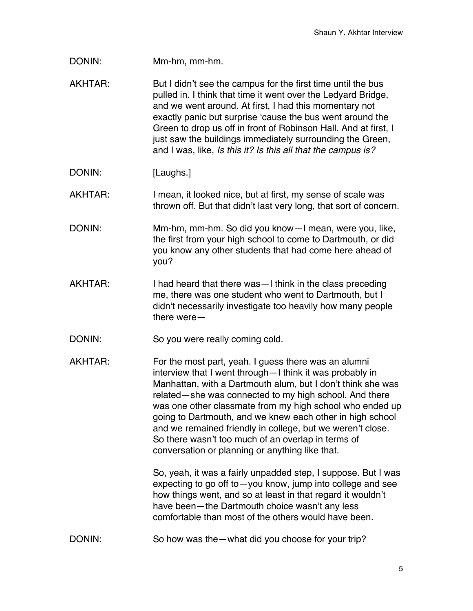DONIN: Mm-hm, mm-hm.

AKHTAR: But I didn't see the campus for the first time until the bus pulled in. I think that time it went over the Ledyard Bridge, and we went around. At first, I had this momentary not exactly panic but surprise 'cause the bus went around the Green to drop us off in front of Robinson Hall. And at first, I just saw the buildings immediately surrounding the Green, and I was, like, *Is this it? Is this all that the campus is?*

DONIN: [Laughs.]

AKHTAR: I mean, it looked nice, but at first, my sense of scale was thrown off. But that didn't last very long, that sort of concern.

- DONIN: Mm-hm, mm-hm. So did you know—I mean, were you, like, the first from your high school to come to Dartmouth, or did you know any other students that had come here ahead of you?
- AKHTAR: I had heard that there was—I think in the class preceding me, there was one student who went to Dartmouth, but I didn't necessarily investigate too heavily how many people there were—
- DONIN: So you were really coming cold.
- AKHTAR: For the most part, yeah. I quess there was an alumni interview that I went through—I think it was probably in Manhattan, with a Dartmouth alum, but I don't think she was related—she was connected to my high school. And there was one other classmate from my high school who ended up going to Dartmouth, and we knew each other in high school and we remained friendly in college, but we weren't close. So there wasn't too much of an overlap in terms of conversation or planning or anything like that.

So, yeah, it was a fairly unpadded step, I suppose. But I was expecting to go off to—you know, jump into college and see how things went, and so at least in that regard it wouldn't have been—the Dartmouth choice wasn't any less comfortable than most of the others would have been.

DONIN: So how was the—what did you choose for your trip?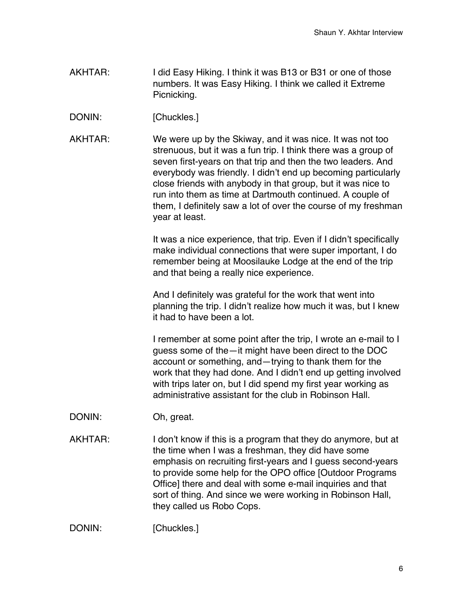- AKHTAR: I did Easy Hiking. I think it was B13 or B31 or one of those numbers. It was Easy Hiking. I think we called it Extreme Picnicking.
- DONIN: [Chuckles.]
- AKHTAR: We were up by the Skiway, and it was nice. It was not too strenuous, but it was a fun trip. I think there was a group of seven first-years on that trip and then the two leaders. And everybody was friendly. I didn't end up becoming particularly close friends with anybody in that group, but it was nice to run into them as time at Dartmouth continued. A couple of them, I definitely saw a lot of over the course of my freshman year at least.

It was a nice experience, that trip. Even if I didn't specifically make individual connections that were super important, I do remember being at Moosilauke Lodge at the end of the trip and that being a really nice experience.

And I definitely was grateful for the work that went into planning the trip. I didn't realize how much it was, but I knew it had to have been a lot.

I remember at some point after the trip, I wrote an e-mail to I guess some of the—it might have been direct to the DOC account or something, and—trying to thank them for the work that they had done. And I didn't end up getting involved with trips later on, but I did spend my first year working as administrative assistant for the club in Robinson Hall.

- DONIN: Oh, great.
- AKHTAR: I don't know if this is a program that they do anymore, but at the time when I was a freshman, they did have some emphasis on recruiting first-years and I guess second-years to provide some help for the OPO office [Outdoor Programs Office] there and deal with some e-mail inquiries and that sort of thing. And since we were working in Robinson Hall, they called us Robo Cops.

DONIN: [Chuckles.]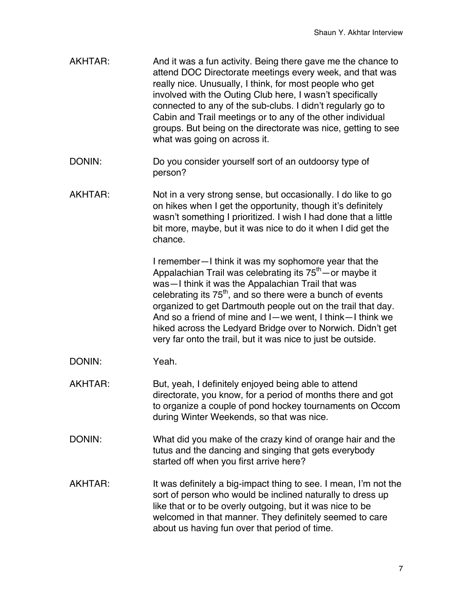- AKHTAR: And it was a fun activity. Being there gave me the chance to attend DOC Directorate meetings every week, and that was really nice. Unusually, I think, for most people who get involved with the Outing Club here, I wasn't specifically connected to any of the sub-clubs. I didn't regularly go to Cabin and Trail meetings or to any of the other individual groups. But being on the directorate was nice, getting to see what was going on across it.
- DONIN: Do you consider yourself sort of an outdoorsy type of person?
- AKHTAR: Not in a very strong sense, but occasionally. I do like to go on hikes when I get the opportunity, though it's definitely wasn't something I prioritized. I wish I had done that a little bit more, maybe, but it was nice to do it when I did get the chance.

I remember—I think it was my sophomore year that the Appalachian Trail was celebrating its  $75<sup>th</sup>$  – or maybe it was—I think it was the Appalachian Trail that was celebrating its  $75<sup>th</sup>$ , and so there were a bunch of events organized to get Dartmouth people out on the trail that day. And so a friend of mine and I—we went, I think—I think we hiked across the Ledyard Bridge over to Norwich. Didn't get very far onto the trail, but it was nice to just be outside.

- DONIN: Yeah.
- AKHTAR: But, yeah, I definitely enjoyed being able to attend directorate, you know, for a period of months there and got to organize a couple of pond hockey tournaments on Occom during Winter Weekends, so that was nice.
- DONIN: What did you make of the crazy kind of orange hair and the tutus and the dancing and singing that gets everybody started off when you first arrive here?
- AKHTAR: It was definitely a big-impact thing to see. I mean, I'm not the sort of person who would be inclined naturally to dress up like that or to be overly outgoing, but it was nice to be welcomed in that manner. They definitely seemed to care about us having fun over that period of time.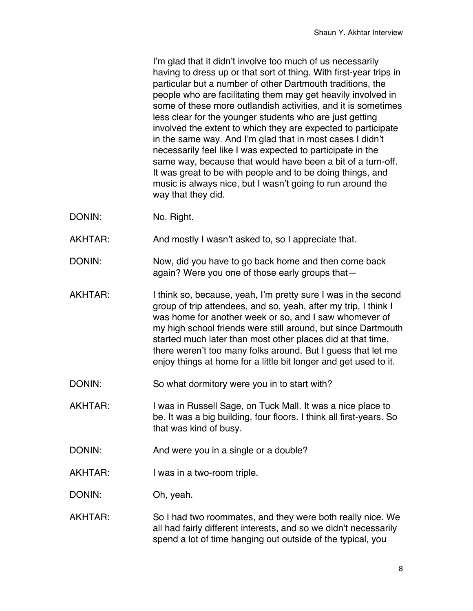I'm glad that it didn't involve too much of us necessarily having to dress up or that sort of thing. With first-year trips in particular but a number of other Dartmouth traditions, the people who are facilitating them may get heavily involved in some of these more outlandish activities, and it is sometimes less clear for the younger students who are just getting involved the extent to which they are expected to participate in the same way. And I'm glad that in most cases I didn't necessarily feel like I was expected to participate in the same way, because that would have been a bit of a turn-off. It was great to be with people and to be doing things, and music is always nice, but I wasn't going to run around the way that they did.

- DONIN: No. Right.
- AKHTAR: And mostly I wasn't asked to, so I appreciate that.
- DONIN: Now, did you have to go back home and then come back again? Were you one of those early groups that—
- AKHTAR: I think so, because, yeah, I'm pretty sure I was in the second group of trip attendees, and so, yeah, after my trip, I think I was home for another week or so, and I saw whomever of my high school friends were still around, but since Dartmouth started much later than most other places did at that time, there weren't too many folks around. But I guess that let me enjoy things at home for a little bit longer and get used to it.
- DONIN: So what dormitory were you in to start with?
- AKHTAR: I was in Russell Sage, on Tuck Mall. It was a nice place to be. It was a big building, four floors. I think all first-years. So that was kind of busy.
- DONIN: And were you in a single or a double?
- AKHTAR: I was in a two-room triple.
- DONIN: Oh, yeah.
- AKHTAR: So I had two roommates, and they were both really nice. We all had fairly different interests, and so we didn't necessarily spend a lot of time hanging out outside of the typical, you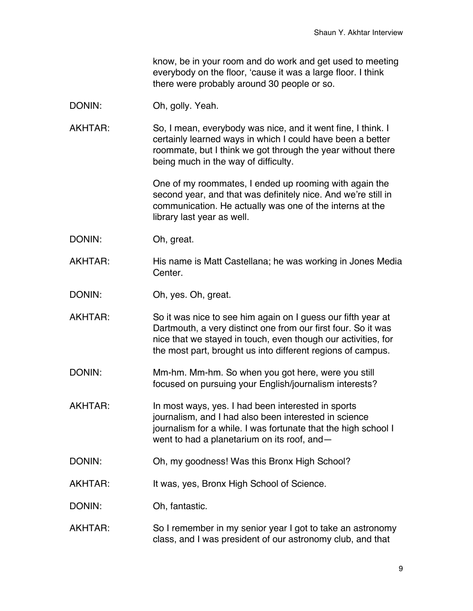know, be in your room and do work and get used to meeting everybody on the floor, 'cause it was a large floor. I think there were probably around 30 people or so.

- DONIN: Oh, golly. Yeah.
- AKHTAR: So, I mean, everybody was nice, and it went fine, I think. I certainly learned ways in which I could have been a better roommate, but I think we got through the year without there being much in the way of difficulty.

One of my roommates, I ended up rooming with again the second year, and that was definitely nice. And we're still in communication. He actually was one of the interns at the library last year as well.

- DONIN: Oh, great.
- AKHTAR: His name is Matt Castellana; he was working in Jones Media Center.
- DONIN: Oh, yes. Oh, great.
- AKHTAR: So it was nice to see him again on I guess our fifth year at Dartmouth, a very distinct one from our first four. So it was nice that we stayed in touch, even though our activities, for the most part, brought us into different regions of campus.
- DONIN: Mm-hm. Mm-hm. So when you got here, were you still focused on pursuing your English/journalism interests?
- AKHTAR: In most ways, yes. I had been interested in sports journalism, and I had also been interested in science journalism for a while. I was fortunate that the high school I went to had a planetarium on its roof, and—
- DONIN: Oh, my goodness! Was this Bronx High School?
- AKHTAR: It was, yes, Bronx High School of Science.
- DONIN: Oh, fantastic.
- AKHTAR: So I remember in my senior year I got to take an astronomy class, and I was president of our astronomy club, and that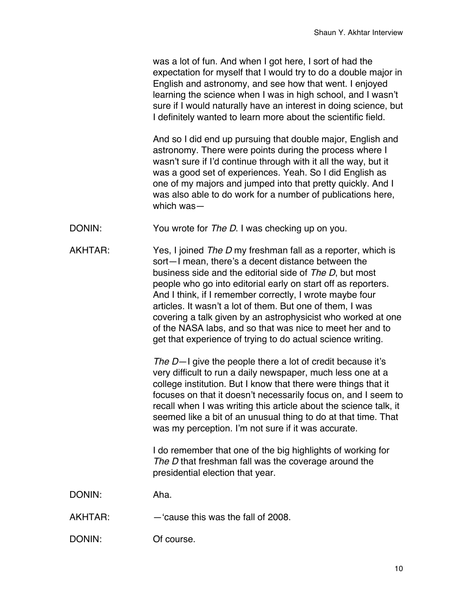was a lot of fun. And when I got here, I sort of had the expectation for myself that I would try to do a double major in English and astronomy, and see how that went. I enjoyed learning the science when I was in high school, and I wasn't sure if I would naturally have an interest in doing science, but I definitely wanted to learn more about the scientific field.

And so I did end up pursuing that double major, English and astronomy. There were points during the process where I wasn't sure if I'd continue through with it all the way, but it was a good set of experiences. Yeah. So I did English as one of my majors and jumped into that pretty quickly. And I was also able to do work for a number of publications here, which was—

- DONIN: You wrote for *The D*. I was checking up on you.
- AKHTAR: Yes, I joined *The D* my freshman fall as a reporter, which is sort—I mean, there's a decent distance between the business side and the editorial side of *The D*, but most people who go into editorial early on start off as reporters. And I think, if I remember correctly, I wrote maybe four articles. It wasn't a lot of them. But one of them, I was covering a talk given by an astrophysicist who worked at one of the NASA labs, and so that was nice to meet her and to get that experience of trying to do actual science writing.

*The D*—I give the people there a lot of credit because it's very difficult to run a daily newspaper, much less one at a college institution. But I know that there were things that it focuses on that it doesn't necessarily focus on, and I seem to recall when I was writing this article about the science talk, it seemed like a bit of an unusual thing to do at that time. That was my perception. I'm not sure if it was accurate.

I do remember that one of the big highlights of working for The D that freshman fall was the coverage around the presidential election that year.

DONIN: Aha.

- AKHTAR: —'cause this was the fall of 2008.
- DONIN: Of course.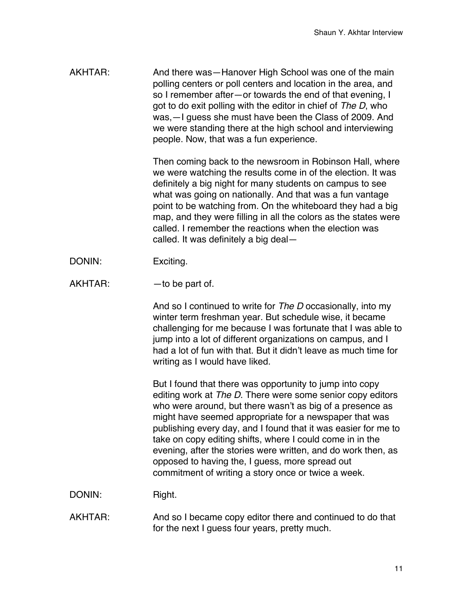AKHTAR: And there was—Hanover High School was one of the main polling centers or poll centers and location in the area, and so I remember after—or towards the end of that evening, I got to do exit polling with the editor in chief of *The D*, who was,—I guess she must have been the Class of 2009. And we were standing there at the high school and interviewing people. Now, that was a fun experience.

> Then coming back to the newsroom in Robinson Hall, where we were watching the results come in of the election. It was definitely a big night for many students on campus to see what was going on nationally. And that was a fun vantage point to be watching from. On the whiteboard they had a big map, and they were filling in all the colors as the states were called. I remember the reactions when the election was called. It was definitely a big deal—

- DONIN: Exciting.
- $AKHTAR:$  —to be part of.

And so I continued to write for *The D* occasionally, into my winter term freshman year. But schedule wise, it became challenging for me because I was fortunate that I was able to jump into a lot of different organizations on campus, and I had a lot of fun with that. But it didn't leave as much time for writing as I would have liked.

But I found that there was opportunity to jump into copy editing work at *The D*. There were some senior copy editors who were around, but there wasn't as big of a presence as might have seemed appropriate for a newspaper that was publishing every day, and I found that it was easier for me to take on copy editing shifts, where I could come in in the evening, after the stories were written, and do work then, as opposed to having the, I guess, more spread out commitment of writing a story once or twice a week.

DONIN: Right.

AKHTAR: And so I became copy editor there and continued to do that for the next I guess four years, pretty much.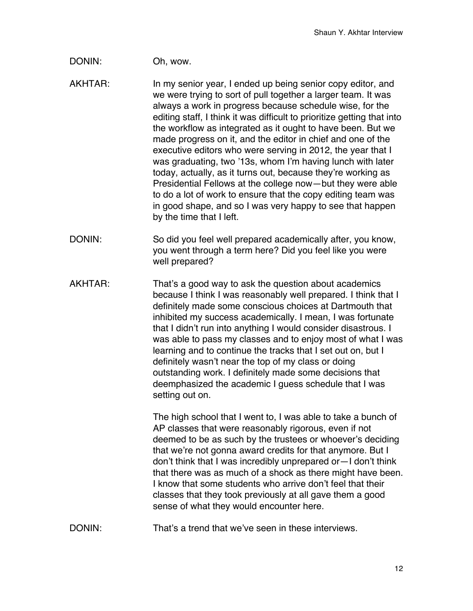## DONIN: Oh, wow.

- AKHTAR: In my senior year, I ended up being senior copy editor, and we were trying to sort of pull together a larger team. It was always a work in progress because schedule wise, for the editing staff, I think it was difficult to prioritize getting that into the workflow as integrated as it ought to have been. But we made progress on it, and the editor in chief and one of the executive editors who were serving in 2012, the year that I was graduating, two '13s, whom I'm having lunch with later today, actually, as it turns out, because they're working as Presidential Fellows at the college now—but they were able to do a lot of work to ensure that the copy editing team was in good shape, and so I was very happy to see that happen by the time that I left.
- DONIN: So did you feel well prepared academically after, you know, you went through a term here? Did you feel like you were well prepared?
- AKHTAR: That's a good way to ask the question about academics because I think I was reasonably well prepared. I think that I definitely made some conscious choices at Dartmouth that inhibited my success academically. I mean, I was fortunate that I didn't run into anything I would consider disastrous. I was able to pass my classes and to enjoy most of what I was learning and to continue the tracks that I set out on, but I definitely wasn't near the top of my class or doing outstanding work. I definitely made some decisions that deemphasized the academic I guess schedule that I was setting out on.

The high school that I went to, I was able to take a bunch of AP classes that were reasonably rigorous, even if not deemed to be as such by the trustees or whoever's deciding that we're not gonna award credits for that anymore. But I don't think that I was incredibly unprepared or—I don't think that there was as much of a shock as there might have been. I know that some students who arrive don't feel that their classes that they took previously at all gave them a good sense of what they would encounter here.

DONIN: That's a trend that we've seen in these interviews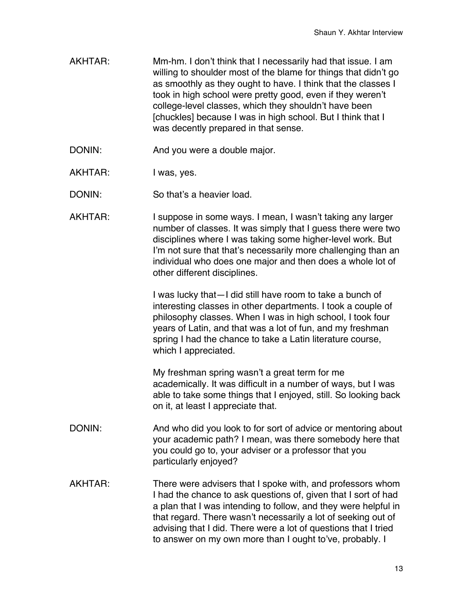- AKHTAR: Mm-hm. I don't think that I necessarily had that issue. I am willing to shoulder most of the blame for things that didn't go as smoothly as they ought to have. I think that the classes I took in high school were pretty good, even if they weren't college-level classes, which they shouldn't have been [chuckles] because I was in high school. But I think that I was decently prepared in that sense.
- DONIN: And you were a double major.
- AKHTAR: I was, yes.
- DONIN: So that's a heavier load.
- AKHTAR: I suppose in some ways. I mean, I wasn't taking any larger number of classes. It was simply that I guess there were two disciplines where I was taking some higher-level work. But I'm not sure that that's necessarily more challenging than an individual who does one major and then does a whole lot of other different disciplines.

I was lucky that—I did still have room to take a bunch of interesting classes in other departments. I took a couple of philosophy classes. When I was in high school, I took four years of Latin, and that was a lot of fun, and my freshman spring I had the chance to take a Latin literature course, which I appreciated.

My freshman spring wasn't a great term for me academically. It was difficult in a number of ways, but I was able to take some things that I enjoyed, still. So looking back on it, at least I appreciate that.

- DONIN: And who did you look to for sort of advice or mentoring about your academic path? I mean, was there somebody here that you could go to, your adviser or a professor that you particularly enjoyed?
- AKHTAR: There were advisers that I spoke with, and professors whom I had the chance to ask questions of, given that I sort of had a plan that I was intending to follow, and they were helpful in that regard. There wasn't necessarily a lot of seeking out of advising that I did. There were a lot of questions that I tried to answer on my own more than I ought to've, probably. I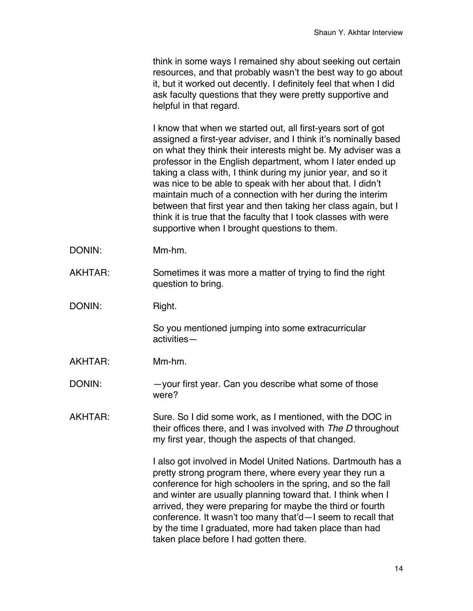think in some ways I remained shy about seeking out certain resources, and that probably wasn't the best way to go about it, but it worked out decently. I definitely feel that when I did ask faculty questions that they were pretty supportive and helpful in that regard.

I know that when we started out, all first-years sort of got assigned a first-year adviser, and I think it's nominally based on what they think their interests might be. My adviser was a professor in the English department, whom I later ended up taking a class with, I think during my junior year, and so it was nice to be able to speak with her about that. I didn't maintain much of a connection with her during the interim between that first year and then taking her class again, but I think it is true that the faculty that I took classes with were supportive when I brought questions to them.

- DONIN: Mm-hm.
- AKHTAR: Sometimes it was more a matter of trying to find the right question to bring.
- DONIN: Right.

So you mentioned jumping into some extracurricular activities—

- AKHTAR: Mm-hm.
- DONIN: - your first year. Can you describe what some of those were?
- AKHTAR: Sure. So I did some work, as I mentioned, with the DOC in their offices there, and I was involved with *The D* throughout my first year, though the aspects of that changed.

I also got involved in Model United Nations. Dartmouth has a pretty strong program there, where every year they run a conference for high schoolers in the spring, and so the fall and winter are usually planning toward that. I think when I arrived, they were preparing for maybe the third or fourth conference. It wasn't too many that'd—I seem to recall that by the time I graduated, more had taken place than had taken place before I had gotten there.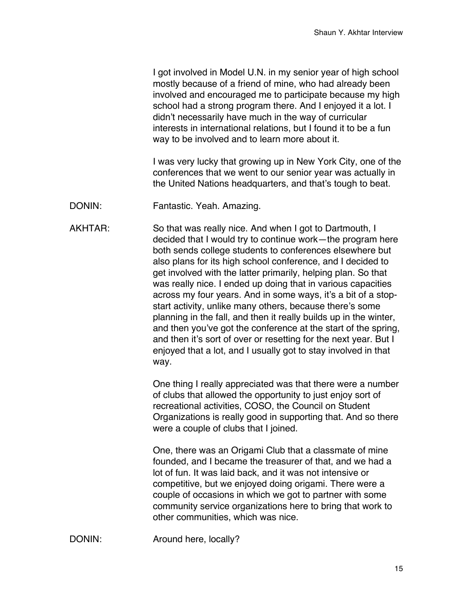I got involved in Model U.N. in my senior year of high school mostly because of a friend of mine, who had already been involved and encouraged me to participate because my high school had a strong program there. And I enjoyed it a lot. I didn't necessarily have much in the way of curricular interests in international relations, but I found it to be a fun way to be involved and to learn more about it.

I was very lucky that growing up in New York City, one of the conferences that we went to our senior year was actually in the United Nations headquarters, and that's tough to beat.

DONIN: Fantastic. Yeah. Amazing.

AKHTAR: So that was really nice. And when I got to Dartmouth, I decided that I would try to continue work—the program here both sends college students to conferences elsewhere but also plans for its high school conference, and I decided to get involved with the latter primarily, helping plan. So that was really nice. I ended up doing that in various capacities across my four years. And in some ways, it's a bit of a stopstart activity, unlike many others, because there's some planning in the fall, and then it really builds up in the winter, and then you've got the conference at the start of the spring, and then it's sort of over or resetting for the next year. But I enjoyed that a lot, and I usually got to stay involved in that way.

> One thing I really appreciated was that there were a number of clubs that allowed the opportunity to just enjoy sort of recreational activities, COSO, the Council on Student Organizations is really good in supporting that. And so there were a couple of clubs that I joined.

One, there was an Origami Club that a classmate of mine founded, and I became the treasurer of that, and we had a lot of fun. It was laid back, and it was not intensive or competitive, but we enjoyed doing origami. There were a couple of occasions in which we got to partner with some community service organizations here to bring that work to other communities, which was nice.

DONIN: Around here, locally?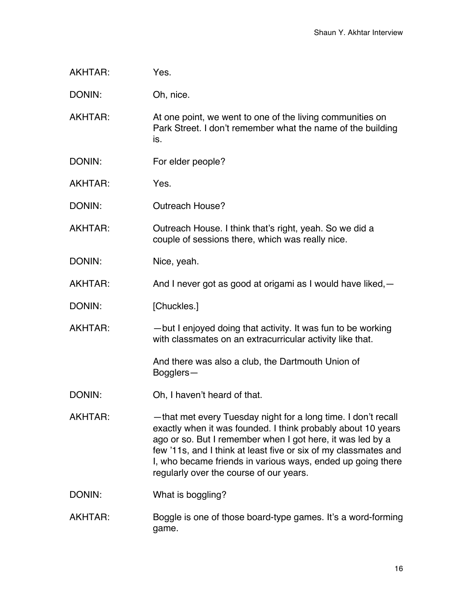| AKHTAR: | Yes. |
|---------|------|
|         |      |

DONIN: Oh, nice.

AKHTAR: At one point, we went to one of the living communities on Park Street. I don't remember what the name of the building is.

- DONIN: For elder people?
- AKHTAR: Yes.
- DONIN: Outreach House?

AKHTAR: Outreach House. I think that's right, yeah. So we did a couple of sessions there, which was really nice.

- DONIN: Nice, yeah.
- AKHTAR: And I never got as good at origami as I would have liked, -
- DONIN: [Chuckles.]
- AKHTAR: — but I enjoyed doing that activity. It was fun to be working with classmates on an extracurricular activity like that.

And there was also a club, the Dartmouth Union of Bogglers—

- DONIN: Oh, I haven't heard of that.
- AKHTAR: —that met every Tuesday night for a long time. I don't recall exactly when it was founded. I think probably about 10 years ago or so. But I remember when I got here, it was led by a few '11s, and I think at least five or six of my classmates and I, who became friends in various ways, ended up going there regularly over the course of our years.
- DONIN: What is boggling?
- AKHTAR: Boggle is one of those board-type games. It's a word-forming game.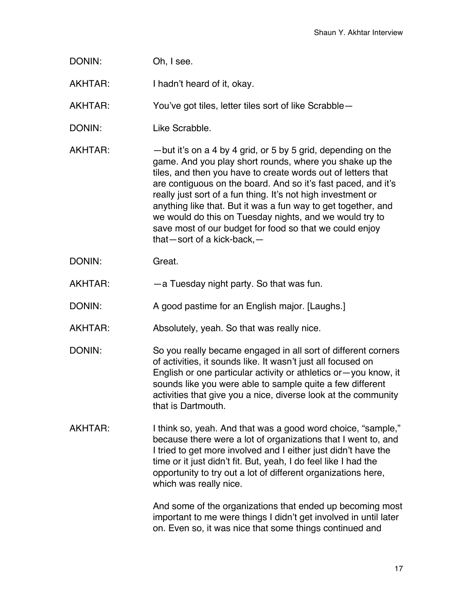| DONIN:  | Oh, I see.                                                                                                                                                                                                                                                                                                                                                                                                                                                                                                                                       |
|---------|--------------------------------------------------------------------------------------------------------------------------------------------------------------------------------------------------------------------------------------------------------------------------------------------------------------------------------------------------------------------------------------------------------------------------------------------------------------------------------------------------------------------------------------------------|
| AKHTAR: | I hadn't heard of it, okay.                                                                                                                                                                                                                                                                                                                                                                                                                                                                                                                      |
| AKHTAR: | You've got tiles, letter tiles sort of like Scrabble-                                                                                                                                                                                                                                                                                                                                                                                                                                                                                            |
| DONIN:  | Like Scrabble.                                                                                                                                                                                                                                                                                                                                                                                                                                                                                                                                   |
| AKHTAR: | -but it's on a 4 by 4 grid, or 5 by 5 grid, depending on the<br>game. And you play short rounds, where you shake up the<br>tiles, and then you have to create words out of letters that<br>are contiguous on the board. And so it's fast paced, and it's<br>really just sort of a fun thing. It's not high investment or<br>anything like that. But it was a fun way to get together, and<br>we would do this on Tuesday nights, and we would try to<br>save most of our budget for food so that we could enjoy<br>that-sort of a kick-back, $-$ |
| DONIN:  | Great.                                                                                                                                                                                                                                                                                                                                                                                                                                                                                                                                           |
| AKHTAR: | -a Tuesday night party. So that was fun.                                                                                                                                                                                                                                                                                                                                                                                                                                                                                                         |
| DONIN:  | A good pastime for an English major. [Laughs.]                                                                                                                                                                                                                                                                                                                                                                                                                                                                                                   |
| AKHTAR: | Absolutely, yeah. So that was really nice.                                                                                                                                                                                                                                                                                                                                                                                                                                                                                                       |
| DONIN:  | So you really became engaged in all sort of different corners<br>of activities, it sounds like. It wasn't just all focused on<br>English or one particular activity or athletics or-you know, it<br>sounds like you were able to sample quite a few different<br>activities that give you a nice, diverse look at the community<br>that is Dartmouth.                                                                                                                                                                                            |
| AKHTAR: | I think so, yeah. And that was a good word choice, "sample,"<br>because there were a lot of organizations that I went to, and<br>I tried to get more involved and I either just didn't have the<br>time or it just didn't fit. But, yeah, I do feel like I had the<br>opportunity to try out a lot of different organizations here,<br>which was really nice.                                                                                                                                                                                    |
|         | And some of the organizations that ended up becoming most<br>important to me were things I didn't get involved in until later<br>on. Even so, it was nice that some things continued and                                                                                                                                                                                                                                                                                                                                                         |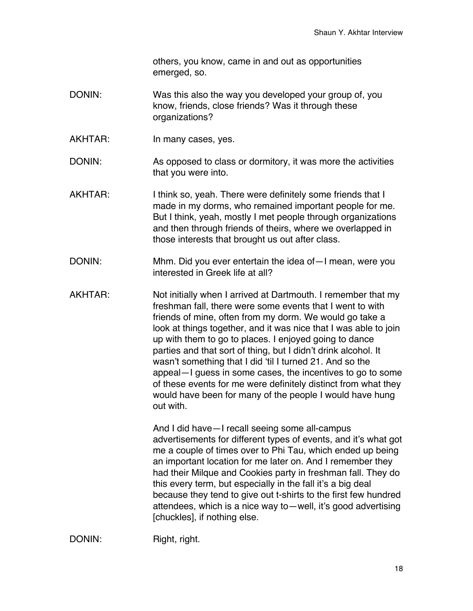others, you know, came in and out as opportunities emerged, so.

- DONIN: Was this also the way you developed your group of, you know, friends, close friends? Was it through these organizations?
- AKHTAR: In many cases, yes.
- DONIN: As opposed to class or dormitory, it was more the activities that you were into.
- AKHTAR: I think so, yeah. There were definitely some friends that I made in my dorms, who remained important people for me. But I think, yeah, mostly I met people through organizations and then through friends of theirs, where we overlapped in those interests that brought us out after class.
- DONIN: Mhm. Did you ever entertain the idea of—I mean, were you interested in Greek life at all?
- AKHTAR: Not initially when I arrived at Dartmouth. I remember that my freshman fall, there were some events that I went to with friends of mine, often from my dorm. We would go take a look at things together, and it was nice that I was able to join up with them to go to places. I enjoyed going to dance parties and that sort of thing, but I didn't drink alcohol. It wasn't something that I did 'til I turned 21. And so the appeal—I guess in some cases, the incentives to go to some of these events for me were definitely distinct from what they would have been for many of the people I would have hung out with.

And I did have—I recall seeing some all-campus advertisements for different types of events, and it's what got me a couple of times over to Phi Tau, which ended up being an important location for me later on. And I remember they had their Milque and Cookies party in freshman fall. They do this every term, but especially in the fall it's a big deal because they tend to give out t-shirts to the first few hundred attendees, which is a nice way to—well, it's good advertising [chuckles], if nothing else.

DONIN: Right, right.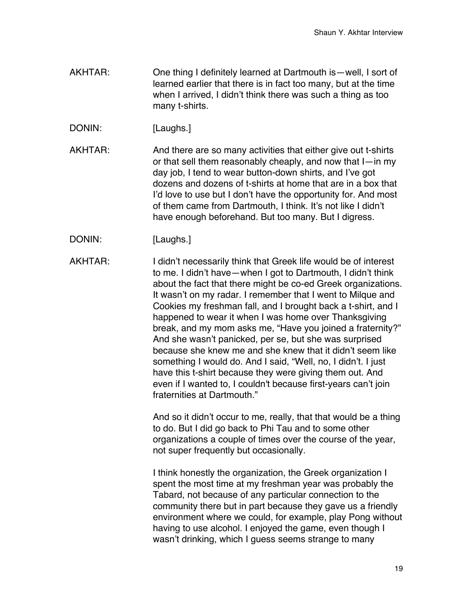- AKHTAR: One thing I definitely learned at Dartmouth is—well, I sort of learned earlier that there is in fact too many, but at the time when I arrived, I didn't think there was such a thing as too many t-shirts.
- DONIN: [Laughs.]
- AKHTAR: And there are so many activities that either give out t-shirts or that sell them reasonably cheaply, and now that I—in my day job, I tend to wear button-down shirts, and I've got dozens and dozens of t-shirts at home that are in a box that I'd love to use but I don't have the opportunity for. And most of them came from Dartmouth, I think. It's not like I didn't have enough beforehand. But too many. But I digress.
- DONIN: [Laughs.]

AKHTAR: I didn't necessarily think that Greek life would be of interest to me. I didn't have—when I got to Dartmouth, I didn't think about the fact that there might be co-ed Greek organizations. It wasn't on my radar. I remember that I went to Milque and Cookies my freshman fall, and I brought back a t-shirt, and I happened to wear it when I was home over Thanksgiving break, and my mom asks me, "Have you joined a fraternity?" And she wasn't panicked, per se, but she was surprised because she knew me and she knew that it didn't seem like something I would do. And I said, "Well, no, I didn't. I just have this t-shirt because they were giving them out. And even if I wanted to, I couldn't because first-years can't join fraternities at Dartmouth."

> And so it didn't occur to me, really, that that would be a thing to do. But I did go back to Phi Tau and to some other organizations a couple of times over the course of the year, not super frequently but occasionally.

I think honestly the organization, the Greek organization I spent the most time at my freshman year was probably the Tabard, not because of any particular connection to the community there but in part because they gave us a friendly environment where we could, for example, play Pong without having to use alcohol. I enjoyed the game, even though I wasn't drinking, which I guess seems strange to many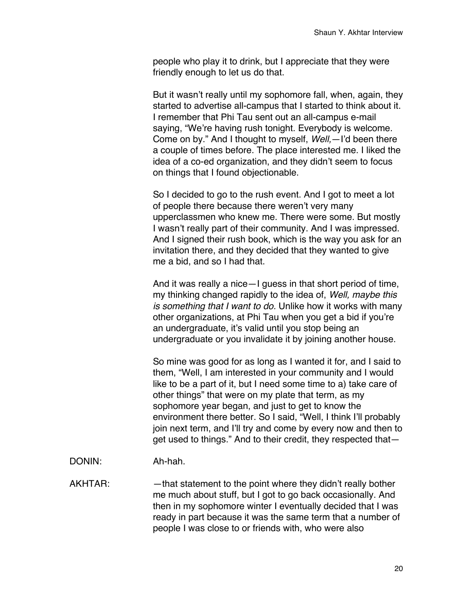people who play it to drink, but I appreciate that they were friendly enough to let us do that.

But it wasn't really until my sophomore fall, when, again, they started to advertise all-campus that I started to think about it. I remember that Phi Tau sent out an all-campus e-mail saying, "We're having rush tonight. Everybody is welcome. Come on by." And I thought to myself, *Well,*—I'd been there a couple of times before. The place interested me. I liked the idea of a co-ed organization, and they didn't seem to focus on things that I found objectionable.

So I decided to go to the rush event. And I got to meet a lot of people there because there weren't very many upperclassmen who knew me. There were some. But mostly I wasn't really part of their community. And I was impressed. And I signed their rush book, which is the way you ask for an invitation there, and they decided that they wanted to give me a bid, and so I had that.

And it was really a nice—I guess in that short period of time, my thinking changed rapidly to the idea of, *Well, maybe this is something that I want to do.* Unlike how it works with many other organizations, at Phi Tau when you get a bid if you're an undergraduate, it's valid until you stop being an undergraduate or you invalidate it by joining another house.

So mine was good for as long as I wanted it for, and I said to them, "Well, I am interested in your community and I would like to be a part of it, but I need some time to a) take care of other things" that were on my plate that term, as my sophomore year began, and just to get to know the environment there better. So I said, "Well, I think I'll probably join next term, and I'll try and come by every now and then to get used to things." And to their credit, they respected that—

DONIN: Ah-hah.

AKHTAR: — —that statement to the point where they didn't really bother me much about stuff, but I got to go back occasionally. And then in my sophomore winter I eventually decided that I was ready in part because it was the same term that a number of people I was close to or friends with, who were also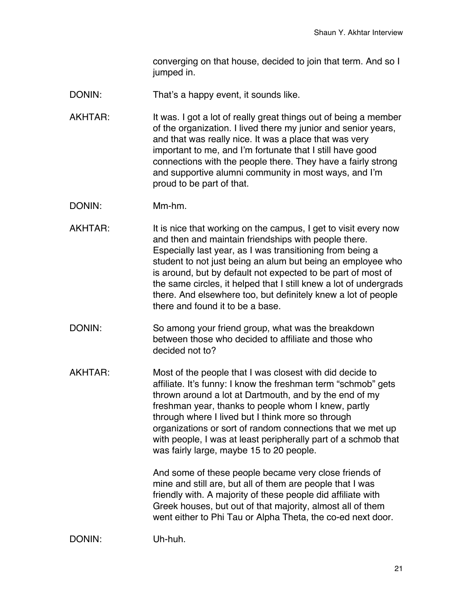converging on that house, decided to join that term. And so I jumped in.

- DONIN: That's a happy event, it sounds like.
- AKHTAR: It was. I got a lot of really great things out of being a member of the organization. I lived there my junior and senior years, and that was really nice. It was a place that was very important to me, and I'm fortunate that I still have good connections with the people there. They have a fairly strong and supportive alumni community in most ways, and I'm proud to be part of that.
- DONIN: Mm-hm.
- AKHTAR: It is nice that working on the campus, I get to visit every now and then and maintain friendships with people there. Especially last year, as I was transitioning from being a student to not just being an alum but being an employee who is around, but by default not expected to be part of most of the same circles, it helped that I still knew a lot of undergrads there. And elsewhere too, but definitely knew a lot of people there and found it to be a base.
- DONIN: So among your friend group, what was the breakdown between those who decided to affiliate and those who decided not to?
- AKHTAR: Most of the people that I was closest with did decide to affiliate. It's funny: I know the freshman term "schmob" gets thrown around a lot at Dartmouth, and by the end of my freshman year, thanks to people whom I knew, partly through where I lived but I think more so through organizations or sort of random connections that we met up with people, I was at least peripherally part of a schmob that was fairly large, maybe 15 to 20 people.

And some of these people became very close friends of mine and still are, but all of them are people that I was friendly with. A majority of these people did affiliate with Greek houses, but out of that majority, almost all of them went either to Phi Tau or Alpha Theta, the co-ed next door.

DONIN: Uh-huh.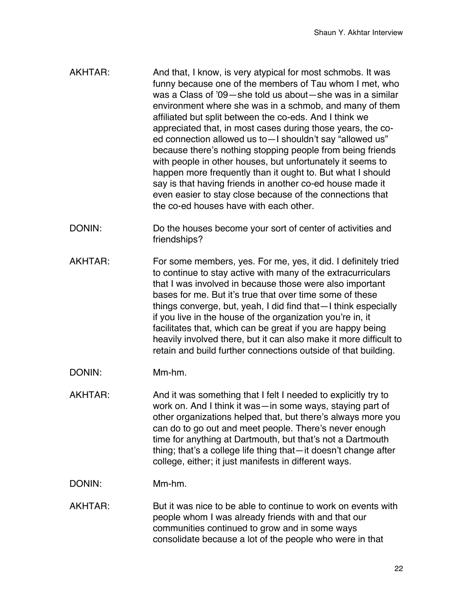- AKHTAR: And that, I know, is very atypical for most schmobs. It was funny because one of the members of Tau whom I met, who was a Class of '09—she told us about—she was in a similar environment where she was in a schmob, and many of them affiliated but split between the co-eds. And I think we appreciated that, in most cases during those years, the coed connection allowed us to—I shouldn't say "allowed us" because there's nothing stopping people from being friends with people in other houses, but unfortunately it seems to happen more frequently than it ought to. But what I should say is that having friends in another co-ed house made it even easier to stay close because of the connections that the co-ed houses have with each other.
- DONIN: Do the houses become your sort of center of activities and friendships?
- AKHTAR: For some members, yes. For me, yes, it did. I definitely tried to continue to stay active with many of the extracurriculars that I was involved in because those were also important bases for me. But it's true that over time some of these things converge, but, yeah, I did find that—I think especially if you live in the house of the organization you're in, it facilitates that, which can be great if you are happy being heavily involved there, but it can also make it more difficult to retain and build further connections outside of that building.
- DONIN: Mm-hm.
- AKHTAR: And it was something that I felt I needed to explicitly try to work on. And I think it was—in some ways, staying part of other organizations helped that, but there's always more you can do to go out and meet people. There's never enough time for anything at Dartmouth, but that's not a Dartmouth thing; that's a college life thing that—it doesn't change after college, either; it just manifests in different ways.
- DONIN: Mm-hm.
- AKHTAR: But it was nice to be able to continue to work on events with people whom I was already friends with and that our communities continued to grow and in some ways consolidate because a lot of the people who were in that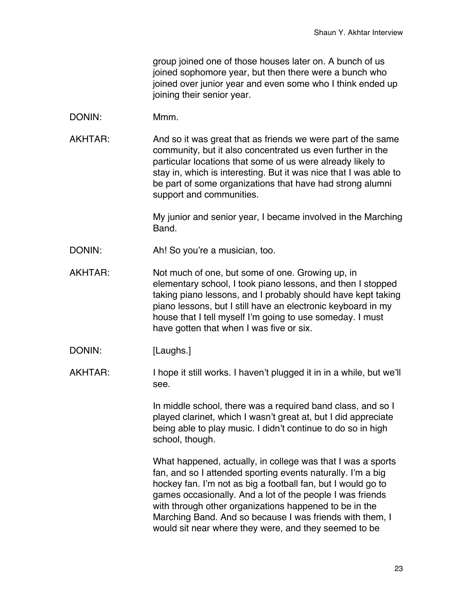group joined one of those houses later on. A bunch of us joined sophomore year, but then there were a bunch who joined over junior year and even some who I think ended up joining their senior year.

- DONIN: Mmm.
- AKHTAR: And so it was great that as friends we were part of the same community, but it also concentrated us even further in the particular locations that some of us were already likely to stay in, which is interesting. But it was nice that I was able to be part of some organizations that have had strong alumni support and communities.

My junior and senior year, I became involved in the Marching Band.

- DONIN: Ah! So you're a musician, too.
- AKHTAR: Not much of one, but some of one. Growing up, in elementary school, I took piano lessons, and then I stopped taking piano lessons, and I probably should have kept taking piano lessons, but I still have an electronic keyboard in my house that I tell myself I'm going to use someday. I must have gotten that when I was five or six.
- DONIN: [Laughs.]
- AKHTAR: I hope it still works. I haven't plugged it in in a while, but we'll see.

In middle school, there was a required band class, and so I played clarinet, which I wasn't great at, but I did appreciate being able to play music. I didn't continue to do so in high school, though.

What happened, actually, in college was that I was a sports fan, and so I attended sporting events naturally. I'm a big hockey fan. I'm not as big a football fan, but I would go to games occasionally. And a lot of the people I was friends with through other organizations happened to be in the Marching Band. And so because I was friends with them, I would sit near where they were, and they seemed to be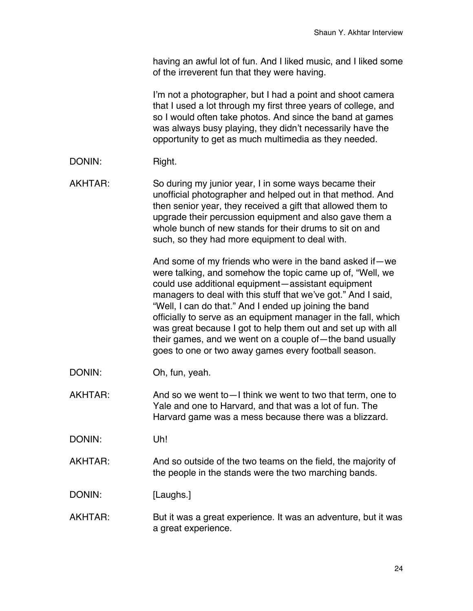having an awful lot of fun. And I liked music, and I liked some of the irreverent fun that they were having.

I'm not a photographer, but I had a point and shoot camera that I used a lot through my first three years of college, and so I would often take photos. And since the band at games was always busy playing, they didn't necessarily have the opportunity to get as much multimedia as they needed.

DONIN: Right.

AKHTAR: So during my junior year, I in some ways became their unofficial photographer and helped out in that method. And then senior year, they received a gift that allowed them to upgrade their percussion equipment and also gave them a whole bunch of new stands for their drums to sit on and such, so they had more equipment to deal with.

> And some of my friends who were in the band asked if—we were talking, and somehow the topic came up of, "Well, we could use additional equipment—assistant equipment managers to deal with this stuff that we've got." And I said, "Well, I can do that." And I ended up joining the band officially to serve as an equipment manager in the fall, which was great because I got to help them out and set up with all their games, and we went on a couple of—the band usually goes to one or two away games every football season.

- DONIN: Oh, fun, yeah.
- AKHTAR: And so we went to I think we went to two that term, one to Yale and one to Harvard, and that was a lot of fun. The Harvard game was a mess because there was a blizzard.

DONIN: Uh!

AKHTAR: And so outside of the two teams on the field, the majority of the people in the stands were the two marching bands.

DONIN: [Laughs.]

AKHTAR: But it was a great experience. It was an adventure, but it was a great experience.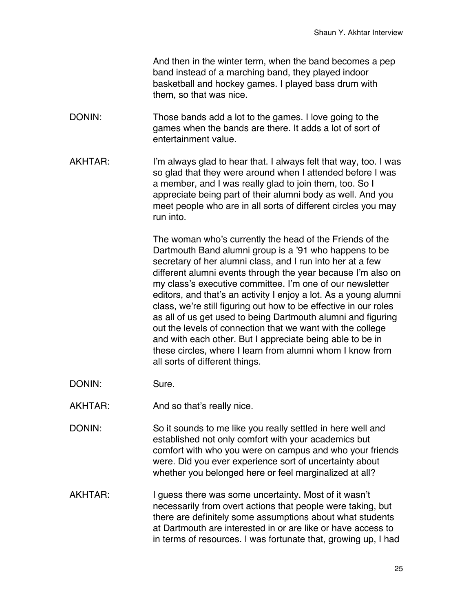And then in the winter term, when the band becomes a pep band instead of a marching band, they played indoor basketball and hockey games. I played bass drum with them, so that was nice.

- DONIN: Those bands add a lot to the games. I love going to the games when the bands are there. It adds a lot of sort of entertainment value.
- AKHTAR: I'm always glad to hear that. I always felt that way, too. I was so glad that they were around when I attended before I was a member, and I was really glad to join them, too. So I appreciate being part of their alumni body as well. And you meet people who are in all sorts of different circles you may run into.

The woman who's currently the head of the Friends of the Dartmouth Band alumni group is a '91 who happens to be secretary of her alumni class, and I run into her at a few different alumni events through the year because I'm also on my class's executive committee. I'm one of our newsletter editors, and that's an activity I enjoy a lot. As a young alumni class, we're still figuring out how to be effective in our roles as all of us get used to being Dartmouth alumni and figuring out the levels of connection that we want with the college and with each other. But I appreciate being able to be in these circles, where I learn from alumni whom I know from all sorts of different things.

- DONIN: Sure.
- AKHTAR: And so that's really nice.
- DONIN: So it sounds to me like you really settled in here well and established not only comfort with your academics but comfort with who you were on campus and who your friends were. Did you ever experience sort of uncertainty about whether you belonged here or feel marginalized at all?
- AKHTAR: I guess there was some uncertainty. Most of it wasn't necessarily from overt actions that people were taking, but there are definitely some assumptions about what students at Dartmouth are interested in or are like or have access to in terms of resources. I was fortunate that, growing up, I had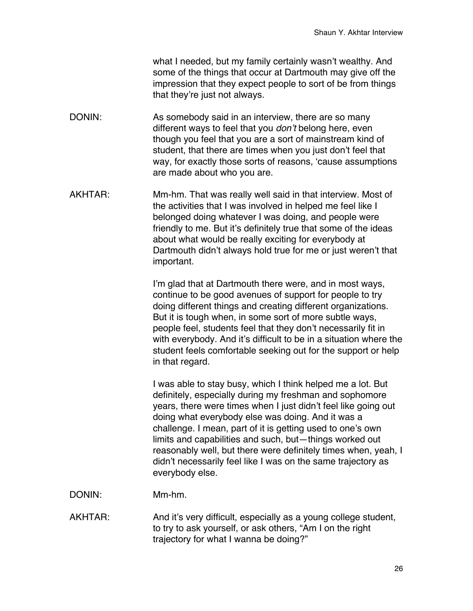what I needed, but my family certainly wasn't wealthy. And some of the things that occur at Dartmouth may give off the impression that they expect people to sort of be from things that they're just not always.

- DONIN: As somebody said in an interview, there are so many different ways to feel that you *don't* belong here, even though you feel that you are a sort of mainstream kind of student, that there are times when you just don't feel that way, for exactly those sorts of reasons, 'cause assumptions are made about who you are.
- AKHTAR: Mm-hm. That was really well said in that interview. Most of the activities that I was involved in helped me feel like I belonged doing whatever I was doing, and people were friendly to me. But it's definitely true that some of the ideas about what would be really exciting for everybody at Dartmouth didn't always hold true for me or just weren't that important.

I'm glad that at Dartmouth there were, and in most ways, continue to be good avenues of support for people to try doing different things and creating different organizations. But it is tough when, in some sort of more subtle ways, people feel, students feel that they don't necessarily fit in with everybody. And it's difficult to be in a situation where the student feels comfortable seeking out for the support or help in that regard.

I was able to stay busy, which I think helped me a lot. But definitely, especially during my freshman and sophomore years, there were times when I just didn't feel like going out doing what everybody else was doing. And it was a challenge. I mean, part of it is getting used to one's own limits and capabilities and such, but—things worked out reasonably well, but there were definitely times when, yeah, I didn't necessarily feel like I was on the same trajectory as everybody else.

- DONIN: Mm-hm.
- AKHTAR: And it's very difficult, especially as a young college student, to try to ask yourself, or ask others, "Am I on the right trajectory for what I wanna be doing?"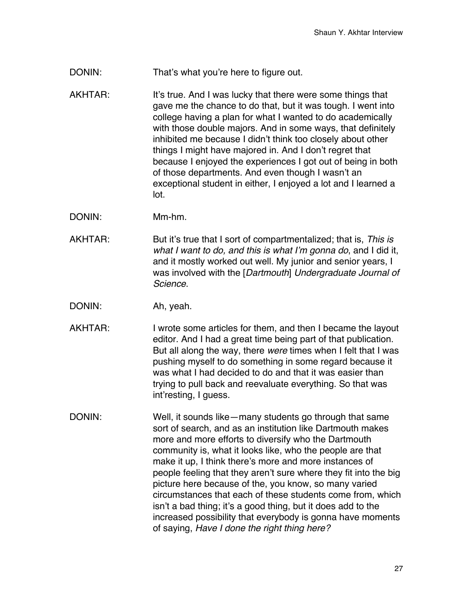DONIN: That's what you're here to figure out.

AKHTAR: It's true. And I was lucky that there were some things that gave me the chance to do that, but it was tough. I went into college having a plan for what I wanted to do academically with those double majors. And in some ways, that definitely inhibited me because I didn't think too closely about other things I might have majored in. And I don't regret that because I enjoyed the experiences I got out of being in both of those departments. And even though I wasn't an exceptional student in either, I enjoyed a lot and I learned a lot.

- DONIN: Mm-hm.
- AKHTAR: But it's true that I sort of compartmentalized; that is, *This is what I want to do, and this is what I'm gonna do*, and I did it, and it mostly worked out well. My junior and senior years, I was involved with the [*Dartmouth*] *Undergraduate Journal of Science*.
- DONIN: Ah, yeah.
- AKHTAR: I wrote some articles for them, and then I became the layout editor. And I had a great time being part of that publication. But all along the way, there *were* times when I felt that I was pushing myself to do something in some regard because it was what I had decided to do and that it was easier than trying to pull back and reevaluate everything. So that was int'resting, I guess.
- DONIN: Well, it sounds like—many students go through that same sort of search, and as an institution like Dartmouth makes more and more efforts to diversify who the Dartmouth community is, what it looks like, who the people are that make it up, I think there's more and more instances of people feeling that they aren't sure where they fit into the big picture here because of the, you know, so many varied circumstances that each of these students come from, which isn't a bad thing; it's a good thing, but it does add to the increased possibility that everybody is gonna have moments of saying, *Have I done the right thing here?*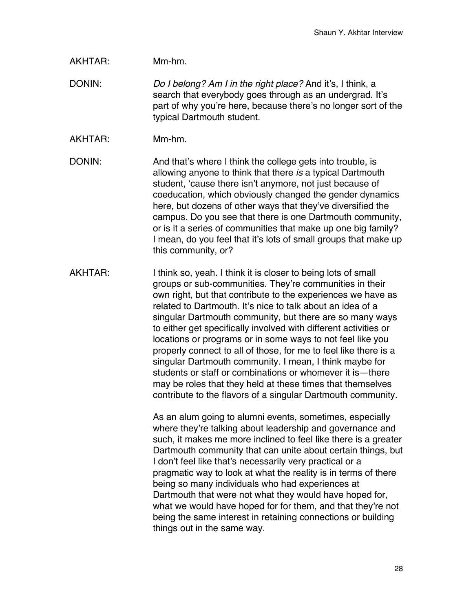## AKHTAR: Mm-hm.

DONIN: *Do I belong? Am I in the right place?* And it's, I think, a search that everybody goes through as an undergrad. It's part of why you're here, because there's no longer sort of the typical Dartmouth student.

AKHTAR: Mm-hm.

DONIN: And that's where I think the college gets into trouble, is allowing anyone to think that there *is* a typical Dartmouth student, 'cause there isn't anymore, not just because of coeducation, which obviously changed the gender dynamics here, but dozens of other ways that they've diversified the campus. Do you see that there is one Dartmouth community, or is it a series of communities that make up one big family? I mean, do you feel that it's lots of small groups that make up this community, or?

AKHTAR: I think so, yeah. I think it is closer to being lots of small groups or sub-communities. They're communities in their own right, but that contribute to the experiences we have as related to Dartmouth. It's nice to talk about an idea of a singular Dartmouth community, but there are so many ways to either get specifically involved with different activities or locations or programs or in some ways to not feel like you properly connect to all of those, for me to feel like there is a singular Dartmouth community. I mean, I think maybe for students or staff or combinations or whomever it is—there may be roles that they held at these times that themselves contribute to the flavors of a singular Dartmouth community.

> As an alum going to alumni events, sometimes, especially where they're talking about leadership and governance and such, it makes me more inclined to feel like there is a greater Dartmouth community that can unite about certain things, but I don't feel like that's necessarily very practical or a pragmatic way to look at what the reality is in terms of there being so many individuals who had experiences at Dartmouth that were not what they would have hoped for, what we would have hoped for for them, and that they're not being the same interest in retaining connections or building things out in the same way.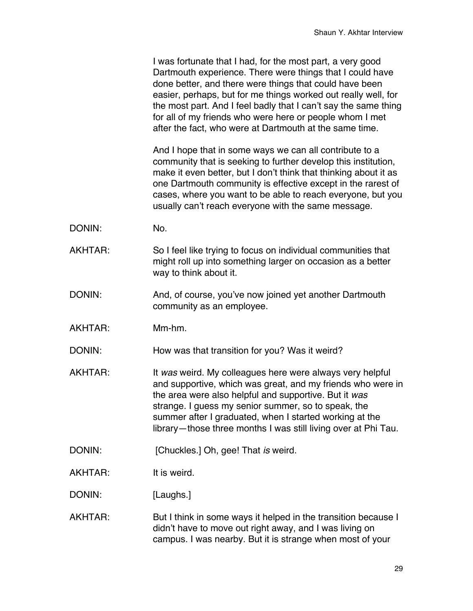I was fortunate that I had, for the most part, a very good Dartmouth experience. There were things that I could have done better, and there were things that could have been easier, perhaps, but for me things worked out really well, for the most part. And I feel badly that I can't say the same thing for all of my friends who were here or people whom I met after the fact, who were at Dartmouth at the same time.

And I hope that in some ways we can all contribute to a community that is seeking to further develop this institution, make it even better, but I don't think that thinking about it as one Dartmouth community is effective except in the rarest of cases, where you want to be able to reach everyone, but you usually can't reach everyone with the same message.

- DONIN: No.
- AKHTAR: So I feel like trying to focus on individual communities that might roll up into something larger on occasion as a better way to think about it.
- DONIN: And, of course, you've now joined yet another Dartmouth community as an employee.
- AKHTAR: Mm-hm.

DONIN: How was that transition for you? Was it weird?

- AKHTAR: It *was* weird. My colleagues here were always very helpful and supportive, which was great, and my friends who were in the area were also helpful and supportive. But it *was* strange. I guess my senior summer, so to speak, the summer after I graduated, when I started working at the library—those three months I was still living over at Phi Tau.
- DONIN: [Chuckles.] Oh, gee! That *is* weird.
- AKHTAR: It is weird.

DONIN: [Laughs.]

AKHTAR: But I think in some ways it helped in the transition because I didn't have to move out right away, and I was living on campus. I was nearby. But it is strange when most of your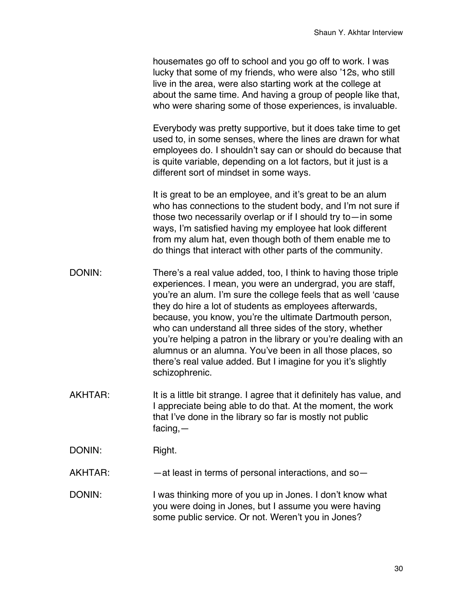housemates go off to school and you go off to work. I was lucky that some of my friends, who were also '12s, who still live in the area, were also starting work at the college at about the same time. And having a group of people like that, who were sharing some of those experiences, is invaluable.

Everybody was pretty supportive, but it does take time to get used to, in some senses, where the lines are drawn for what employees do. I shouldn't say can or should do because that is quite variable, depending on a lot factors, but it just is a different sort of mindset in some ways.

It is great to be an employee, and it's great to be an alum who has connections to the student body, and I'm not sure if those two necessarily overlap or if I should try to—in some ways, I'm satisfied having my employee hat look different from my alum hat, even though both of them enable me to do things that interact with other parts of the community.

- DONIN: There's a real value added, too, I think to having those triple experiences. I mean, you were an undergrad, you are staff, you're an alum. I'm sure the college feels that as well 'cause they do hire a lot of students as employees afterwards, because, you know, you're the ultimate Dartmouth person, who can understand all three sides of the story, whether you're helping a patron in the library or you're dealing with an alumnus or an alumna. You've been in all those places, so there's real value added. But I imagine for you it's slightly schizophrenic.
- AKHTAR: It is a little bit strange. I agree that it definitely has value, and I appreciate being able to do that. At the moment, the work that I've done in the library so far is mostly not public facing,—

DONIN: Right.

AKHTAR: — —at least in terms of personal interactions, and so-

DONIN: I was thinking more of you up in Jones. I don't know what you were doing in Jones, but I assume you were having some public service. Or not. Weren't you in Jones?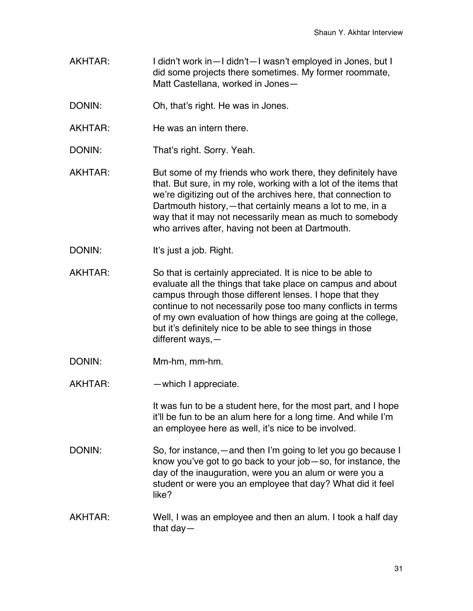- AKHTAR: I didn't work in—I didn't—I wasn't employed in Jones, but I did some projects there sometimes. My former roommate, Matt Castellana, worked in Jones—
- DONIN: Oh, that's right. He was in Jones.
- AKHTAR: He was an intern there.
- DONIN: That's right. Sorry. Yeah.
- AKHTAR: But some of my friends who work there, they definitely have that. But sure, in my role, working with a lot of the items that we're digitizing out of the archives here, that connection to Dartmouth history,—that certainly means a lot to me, in a way that it may not necessarily mean as much to somebody who arrives after, having not been at Dartmouth.
- DONIN: It's just a job. Right.
- AKHTAR: So that is certainly appreciated. It is nice to be able to evaluate all the things that take place on campus and about campus through those different lenses. I hope that they continue to not necessarily pose too many conflicts in terms of my own evaluation of how things are going at the college, but it's definitely nice to be able to see things in those different ways,—
- DONIN: Mm-hm, mm-hm.
- AKHTAR: —which I appreciate.

It was fun to be a student here, for the most part, and I hope it'll be fun to be an alum here for a long time. And while I'm an employee here as well, it's nice to be involved.

- DONIN: So, for instance,—and then I'm going to let you go because I know you've got to go back to your job—so, for instance, the day of the inauguration, were you an alum or were you a student or were you an employee that day? What did it feel like?
- AKHTAR: Well, I was an employee and then an alum. I took a half day that day—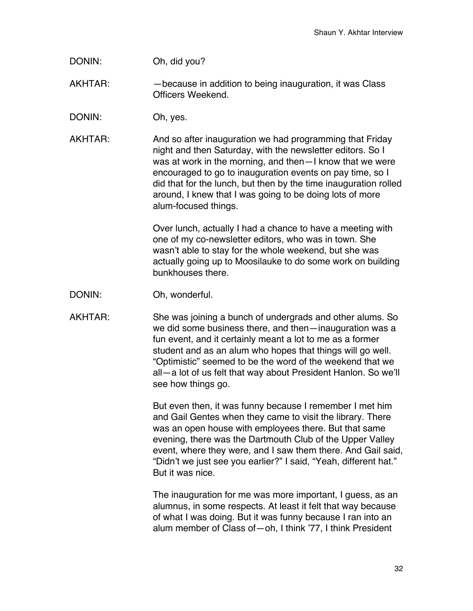- DONIN: Oh, did you?
- AKHTAR: —because in addition to being inauguration, it was Class Officers Weekend.
- DONIN: Oh, yes.
- AKHTAR: And so after inauguration we had programming that Friday night and then Saturday, with the newsletter editors. So I was at work in the morning, and then—I know that we were encouraged to go to inauguration events on pay time, so I did that for the lunch, but then by the time inauguration rolled around, I knew that I was going to be doing lots of more alum-focused things.

Over lunch, actually I had a chance to have a meeting with one of my co-newsletter editors, who was in town. She wasn't able to stay for the whole weekend, but she was actually going up to Moosilauke to do some work on building bunkhouses there.

DONIN: Oh, wonderful.

AKHTAR: She was joining a bunch of undergrads and other alums. So we did some business there, and then—inauguration was a fun event, and it certainly meant a lot to me as a former student and as an alum who hopes that things will go well. "Optimistic" seemed to be the word of the weekend that we all—a lot of us felt that way about President Hanlon. So we'll see how things go.

> But even then, it was funny because I remember I met him and Gail Gentes when they came to visit the library. There was an open house with employees there. But that same evening, there was the Dartmouth Club of the Upper Valley event, where they were, and I saw them there. And Gail said, "Didn't we just see you earlier?" I said, "Yeah, different hat." But it was nice.

The inauguration for me was more important, I guess, as an alumnus, in some respects. At least it felt that way because of what I was doing. But it was funny because I ran into an alum member of Class of—oh, I think '77, I think President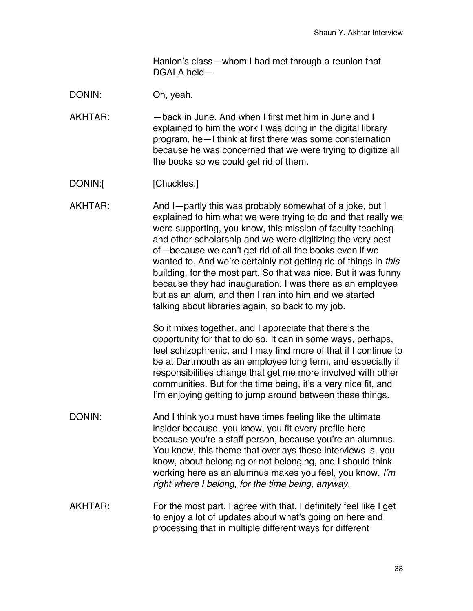Hanlon's class—whom I had met through a reunion that DGALA held—

DONIN: Oh, yeah.

AKHTAR: — —back in June. And when I first met him in June and I explained to him the work I was doing in the digital library program, he—I think at first there was some consternation because he was concerned that we were trying to digitize all the books so we could get rid of them.

DONIN:[ [Chuckles.]

AKHTAR: And I—partly this was probably somewhat of a joke, but I explained to him what we were trying to do and that really we were supporting, you know, this mission of faculty teaching and other scholarship and we were digitizing the very best of—because we can't get rid of all the books even if we wanted to. And we're certainly not getting rid of things in *this* building, for the most part. So that was nice. But it was funny because they had inauguration. I was there as an employee but as an alum, and then I ran into him and we started talking about libraries again, so back to my job.

> So it mixes together, and I appreciate that there's the opportunity for that to do so. It can in some ways, perhaps, feel schizophrenic, and I may find more of that if I continue to be at Dartmouth as an employee long term, and especially if responsibilities change that get me more involved with other communities. But for the time being, it's a very nice fit, and I'm enjoying getting to jump around between these things.

- DONIN: And I think you must have times feeling like the ultimate insider because, you know, you fit every profile here because you're a staff person, because you're an alumnus. You know, this theme that overlays these interviews is, you know, about belonging or not belonging, and I should think working here as an alumnus makes you feel, you know, *I'm right where I belong, for the time being, anyway.*
- AKHTAR: For the most part, I agree with that. I definitely feel like I get to enjoy a lot of updates about what's going on here and processing that in multiple different ways for different